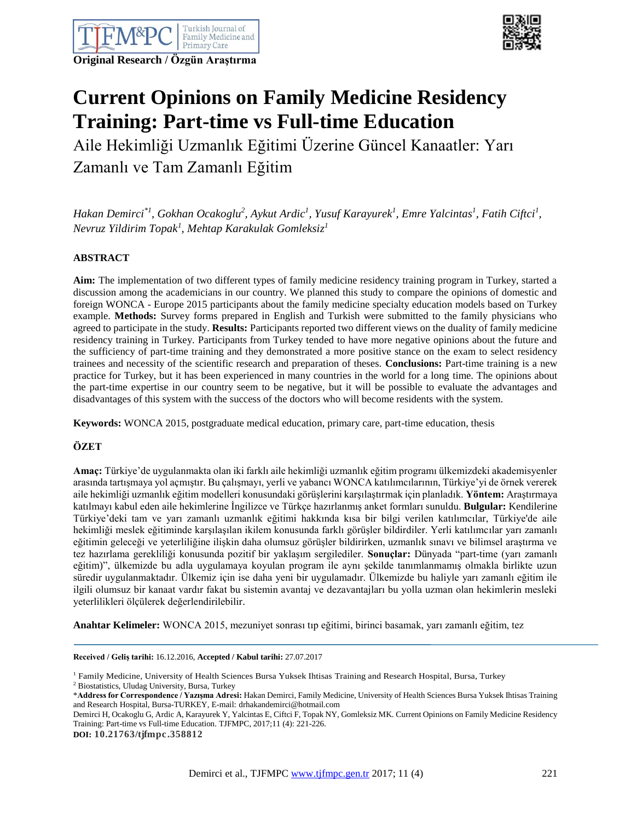



# **Current Opinions on Family Medicine Residency Training: Part-time vs Full-time Education**

Aile Hekimliği Uzmanlık Eğitimi Üzerine Güncel Kanaatler: Yarı Zamanlı ve Tam Zamanlı Eğitim

 $H$ akan Demirci $^*$ <sup>1</sup>, Gokhan Ocakoglu<sup>2</sup>, Aykut Ardic<sup>1</sup>, Yusuf Karayurek<sup>1</sup>, Emre Yalcintas<sup>1</sup>, Fatih Ciftci<sup>1</sup>, *Nevruz Yildirim Topak<sup>1</sup> , Mehtap Karakulak Gomleksiz<sup>1</sup>*

## **ABSTRACT**

**Aim:** The implementation of two different types of family medicine residency training program in Turkey, started a discussion among the academicians in our country. We planned this study to compare the opinions of domestic and foreign WONCA - Europe 2015 participants about the family medicine specialty education models based on Turkey example. **Methods:** Survey forms prepared in English and Turkish were submitted to the family physicians who agreed to participate in the study. **Results:** Participants reported two different views on the duality of family medicine residency training in Turkey. Participants from Turkey tended to have more negative opinions about the future and the sufficiency of part-time training and they demonstrated a more positive stance on the exam to select residency trainees and necessity of the scientific research and preparation of theses. **Conclusions:** Part-time training is a new practice for Turkey, but it has been experienced in many countries in the world for a long time. The opinions about the part-time expertise in our country seem to be negative, but it will be possible to evaluate the advantages and disadvantages of this system with the success of the doctors who will become residents with the system.

**Keywords:** WONCA 2015, postgraduate medical education, primary care, part-time education, thesis

## **ÖZET**

**Amaç:** Türkiye'de uygulanmakta olan iki farklı aile hekimliği uzmanlık eğitim programı ülkemizdeki akademisyenler arasında tartışmaya yol açmıştır. Bu çalışmayı, yerli ve yabancı WONCA katılımcılarının, Türkiye'yi de örnek vererek aile hekimliği uzmanlık eğitim modelleri konusundaki görüşlerini karşılaştırmak için planladık. **Yöntem:** Araştırmaya katılmayı kabul eden aile hekimlerine İngilizce ve Türkçe hazırlanmış anket formları sunuldu. **Bulgular:** Kendilerine Türkiye'deki tam ve yarı zamanlı uzmanlık eğitimi hakkında kısa bir bilgi verilen katılımcılar, Türkiye'de aile hekimliği meslek eğitiminde karşılaşılan ikilem konusunda farklı görüşler bildirdiler. Yerli katılımcılar yarı zamanlı eğitimin geleceği ve yeterliliğine ilişkin daha olumsuz görüşler bildirirken, uzmanlık sınavı ve bilimsel araştırma ve tez hazırlama gerekliliği konusunda pozitif bir yaklaşım sergilediler. **Sonuçlar:** Dünyada "part-time (yarı zamanlı eğitim)", ülkemizde bu adla uygulamaya koyulan program ile aynı şekilde tanımlanmamış olmakla birlikte uzun süredir uygulanmaktadır. Ülkemiz için ise daha yeni bir uygulamadır. Ülkemizde bu haliyle yarı zamanlı eğitim ile ilgili olumsuz bir kanaat vardır fakat bu sistemin avantaj ve dezavantajları bu yolla uzman olan hekimlerin mesleki yeterlilikleri ölçülerek değerlendirilebilir.

**Anahtar Kelimeler:** WONCA 2015, mezuniyet sonrası tıp eğitimi, birinci basamak, yarı zamanlı eğitim, tez

**Received / Geliş tarihi:** 16.12.2016, **Accepted / Kabul tarihi:** 27.07.2017

**DOI: 10.21763/tjfmpc.358812**

<sup>&</sup>lt;sup>1</sup> Family Medicine, University of Health Sciences Bursa Yuksek Ihtisas Training and Research Hospital, Bursa, Turkey

<sup>2</sup> Biostatistics, Uludag University, Bursa, Turkey

<sup>\*</sup>**Address for Correspondence / Yazışma Adresi:** Hakan Demirci, Family Medicine, University of Health Sciences Bursa Yuksek Ihtisas Training and Research Hospital, Bursa-TURKEY, E-mail: drhakandemirci@hotmail.com

Demirci H, Ocakoglu G, Ardic A, Karayurek Y, Yalcintas E, Ciftci F, Topak NY, Gomleksiz MK. Current Opinions on Family Medicine Residency Training: Part-time vs Full-time Education. TJFMPC, 2017;11 (4): 221-226.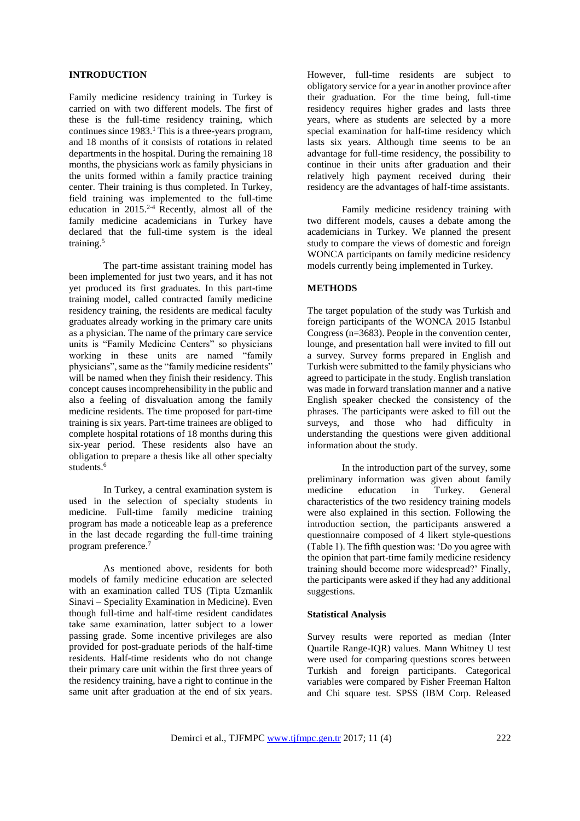#### **INTRODUCTION**

Family medicine residency training in Turkey is carried on with two different models. The first of these is the full-time residency training, which continues since  $1983<sup>1</sup>$ . This is a three-years program, and 18 months of it consists of rotations in related departments in the hospital. During the remaining 18 months, the physicians work as family physicians in the units formed within a family practice training center. Their training is thus completed. In Turkey, field training was implemented to the full-time education in  $2015.<sup>2-4</sup>$  Recently, almost all of the family medicine academicians in Turkey have declared that the full-time system is the ideal training.<sup>5</sup>

The part-time assistant training model has been implemented for just two years, and it has not yet produced its first graduates. In this part-time training model, called contracted family medicine residency training, the residents are medical faculty graduates already working in the primary care units as a physician. The name of the primary care service units is "Family Medicine Centers" so physicians working in these units are named "family physicians", same as the "family medicine residents" will be named when they finish their residency. This concept causes incomprehensibility in the public and also a feeling of disvaluation among the family medicine residents. The time proposed for part-time training is six years. Part-time trainees are obliged to complete hospital rotations of 18 months during this six-year period. These residents also have an obligation to prepare a thesis like all other specialty students.<sup>6</sup>

In Turkey, a central examination system is used in the selection of specialty students in medicine. Full-time family medicine training program has made a noticeable leap as a preference in the last decade regarding the full-time training program preference.<sup>7</sup>

As mentioned above, residents for both models of family medicine education are selected with an examination called TUS (Tipta Uzmanlik Sinavi – Speciality Examination in Medicine). Even though full-time and half-time resident candidates take same examination, latter subject to a lower passing grade. Some incentive privileges are also provided for post-graduate periods of the half-time residents. Half-time residents who do not change their primary care unit within the first three years of the residency training, have a right to continue in the same unit after graduation at the end of six years.

However, full-time residents are subject to obligatory service for a year in another province after their graduation. For the time being, full-time residency requires higher grades and lasts three years, where as students are selected by a more special examination for half-time residency which lasts six years. Although time seems to be an advantage for full-time residency, the possibility to continue in their units after graduation and their relatively high payment received during their residency are the advantages of half-time assistants.

Family medicine residency training with two different models, causes a debate among the academicians in Turkey. We planned the present study to compare the views of domestic and foreign WONCA participants on family medicine residency models currently being implemented in Turkey.

#### **METHODS**

The target population of the study was Turkish and foreign participants of the WONCA 2015 Istanbul Congress (n=3683). People in the convention center, lounge, and presentation hall were invited to fill out a survey. Survey forms prepared in English and Turkish were submitted to the family physicians who agreed to participate in the study. English translation was made in forward translation manner and a native English speaker checked the consistency of the phrases. The participants were asked to fill out the surveys, and those who had difficulty in understanding the questions were given additional information about the study.

In the introduction part of the survey, some preliminary information was given about family medicine education in Turkey. General characteristics of the two residency training models were also explained in this section. Following the introduction section, the participants answered a questionnaire composed of 4 likert style-questions (Table 1). The fifth question was: 'Do you agree with the opinion that part-time family medicine residency training should become more widespread?' Finally, the participants were asked if they had any additional suggestions.

### **Statistical Analysis**

Survey results were reported as median (Inter Quartile Range-IQR) values. Mann Whitney U test were used for comparing questions scores between Turkish and foreign participants. Categorical variables were compared by Fisher Freeman Halton and Chi square test. SPSS (IBM Corp. Released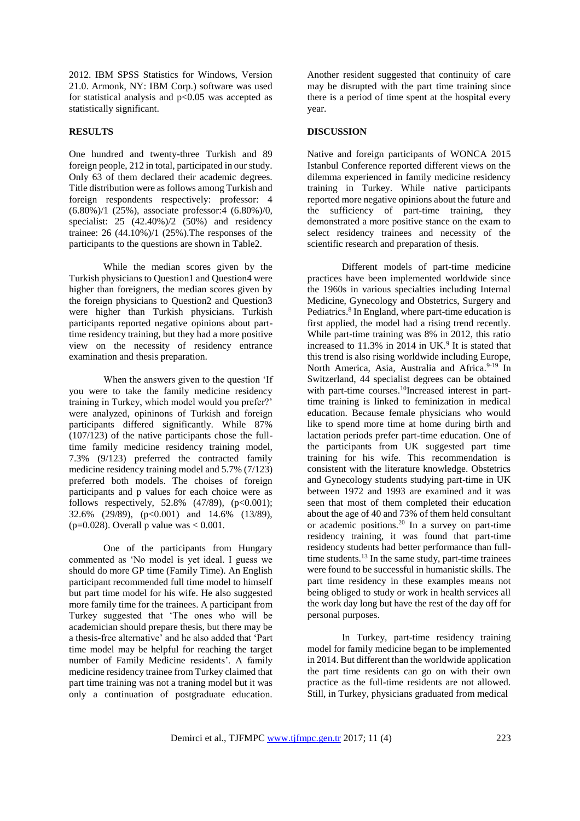2012. IBM SPSS Statistics for Windows, Version 21.0. Armonk, NY: IBM Corp.) software was used for statistical analysis and  $p<0.05$  was accepted as statistically significant.

#### **RESULTS**

One hundred and twenty-three Turkish and 89 foreign people, 212 in total, participated in our study. Only 63 of them declared their academic degrees. Title distribution were as follows among Turkish and foreign respondents respectively: professor: 4 (6.80%)/1 (25%), associate professor:4 (6.80%)/0, specialist:  $25 \left(42.40\% \right) / 2 \left(50\% \right)$  and residency trainee: 26 (44.10%)/1 (25%).The responses of the participants to the questions are shown in Table2.

While the median scores given by the Turkish physicians to Question1 and Question4 were higher than foreigners, the median scores given by the foreign physicians to Question2 and Question3 were higher than Turkish physicians. Turkish participants reported negative opinions about parttime residency training, but they had a more positive view on the necessity of residency entrance examination and thesis preparation.

When the answers given to the question 'If you were to take the family medicine residency training in Turkey, which model would you prefer?' were analyzed, opininons of Turkish and foreign participants differed significantly. While 87% (107/123) of the native participants chose the fulltime family medicine residency training model, 7.3% (9/123) preferred the contracted family medicine residency training model and 5.7% (7/123) preferred both models. The choises of foreign participants and p values for each choice were as follows respectively,  $52.8\%$  (47/89), (p<0.001); 32.6% (29/89), (p<0.001) and 14.6% (13/89), ( $p=0.028$ ). Overall p value was  $< 0.001$ .

One of the participants from Hungary commented as 'No model is yet ideal. I guess we should do more GP time (Family Time). An English participant recommended full time model to himself but part time model for his wife. He also suggested more family time for the trainees. A participant from Turkey suggested that 'The ones who will be academician should prepare thesis, but there may be a thesis-free alternative' and he also added that 'Part time model may be helpful for reaching the target number of Family Medicine residents'. A family medicine residency trainee from Turkey claimed that part time training was not a traning model but it was only a continuation of postgraduate education.

Another resident suggested that continuity of care may be disrupted with the part time training since there is a period of time spent at the hospital every year.

#### **DISCUSSION**

Native and foreign participants of WONCA 2015 Istanbul Conference reported different views on the dilemma experienced in family medicine residency training in Turkey. While native participants reported more negative opinions about the future and the sufficiency of part-time training, they demonstrated a more positive stance on the exam to select residency trainees and necessity of the scientific research and preparation of thesis.

Different models of part-time medicine practices have been implemented worldwide since the 1960s in various specialties including Internal Medicine, Gynecology and Obstetrics, Surgery and Pediatrics.<sup>8</sup> In England, where part-time education is first applied, the model had a rising trend recently. While part-time training was 8% in 2012, this ratio increased to  $11.3\%$  in 2014 in UK.<sup>9</sup> It is stated that this trend is also rising worldwide including Europe, North America, Asia, Australia and Africa.<sup>9-19</sup> In Switzerland, 44 specialist degrees can be obtained with part-time courses.<sup>10</sup>Increased interest in parttime training is linked to feminization in medical education. Because female physicians who would like to spend more time at home during birth and lactation periods prefer part-time education. One of the participants from UK suggested part time training for his wife. This recommendation is consistent with the literature knowledge. Obstetrics and Gynecology students studying part-time in UK between 1972 and 1993 are examined and it was seen that most of them completed their education about the age of 40 and 73% of them held consultant or academic positions.<sup>20</sup> In a survey on part-time residency training, it was found that part-time residency students had better performance than fulltime students.<sup>13</sup> In the same study, part-time trainees were found to be successful in humanistic skills. The part time residency in these examples means not being obliged to study or work in health services all the work day long but have the rest of the day off for personal purposes.

In Turkey, part-time residency training model for family medicine began to be implemented in 2014. But different than the worldwide application the part time residents can go on with their own practice as the full-time residents are not allowed. Still, in Turkey, physicians graduated from medical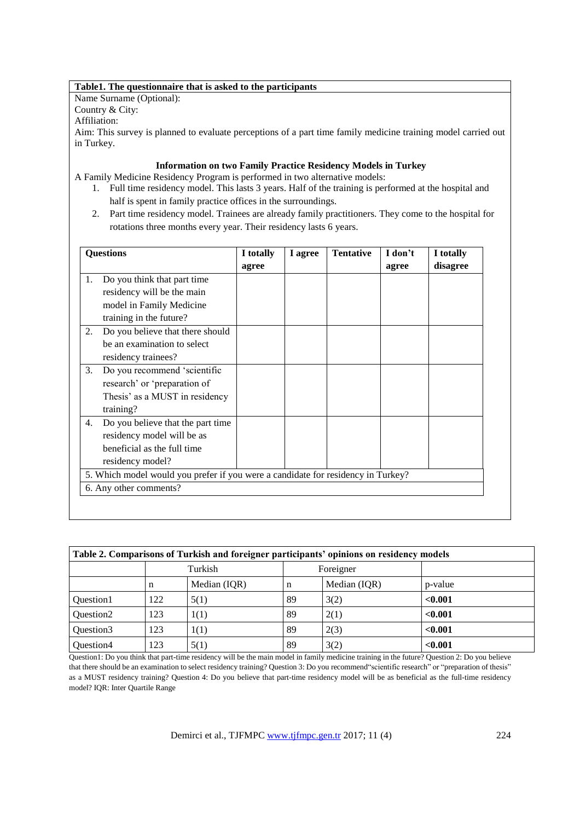## **Table1. The questionnaire that is asked to the participants**

Name Surname (Optional):

Country & City:

Affiliation:

Aim: This survey is planned to evaluate perceptions of a part time family medicine training model carried out in Turkey.

## **Information on two Family Practice Residency Models in Turkey**

A Family Medicine Residency Program is performed in two alternative models:

- 1. Full time residency model. This lasts 3 years. Half of the training is performed at the hospital and half is spent in family practice offices in the surroundings.
- 2. Part time residency model. Trainees are already family practitioners. They come to the hospital for rotations three months every year. Their residency lasts 6 years.

| <b>Questions</b> |                                                                                  | I totally | I agree | <b>Tentative</b> | I don't | I totally |
|------------------|----------------------------------------------------------------------------------|-----------|---------|------------------|---------|-----------|
|                  |                                                                                  | agree     |         |                  | agree   | disagree  |
| 1.               | Do you think that part time                                                      |           |         |                  |         |           |
|                  | residency will be the main                                                       |           |         |                  |         |           |
|                  | model in Family Medicine                                                         |           |         |                  |         |           |
|                  | training in the future?                                                          |           |         |                  |         |           |
| 2.               | Do you believe that there should                                                 |           |         |                  |         |           |
|                  | be an examination to select                                                      |           |         |                  |         |           |
|                  | residency trainees?                                                              |           |         |                  |         |           |
| 3.               | Do you recommend 'scientific                                                     |           |         |                  |         |           |
|                  | research' or 'preparation of                                                     |           |         |                  |         |           |
|                  | Thesis' as a MUST in residency                                                   |           |         |                  |         |           |
|                  | training?                                                                        |           |         |                  |         |           |
| 4.               | Do you believe that the part time                                                |           |         |                  |         |           |
|                  | residency model will be as                                                       |           |         |                  |         |           |
|                  | beneficial as the full time                                                      |           |         |                  |         |           |
|                  | residency model?                                                                 |           |         |                  |         |           |
|                  | 5. Which model would you prefer if you were a candidate for residency in Turkey? |           |         |                  |         |           |
|                  | 6. Any other comments?                                                           |           |         |                  |         |           |

| Table 2. Comparisons of Turkish and foreigner participants' opinions on residency models |         |              |    |              |         |  |  |  |  |  |
|------------------------------------------------------------------------------------------|---------|--------------|----|--------------|---------|--|--|--|--|--|
|                                                                                          | Turkish |              |    | Foreigner    |         |  |  |  |  |  |
|                                                                                          | n       | Median (IQR) | n  | Median (IQR) | p-value |  |  |  |  |  |
| Ouestion1                                                                                | 122     | 5(1)         | 89 | 3(2)         | < 0.001 |  |  |  |  |  |
| Ouestion <sub>2</sub>                                                                    | 123     | 1(1)         | 89 | 2(1)         | < 0.001 |  |  |  |  |  |
| Question3                                                                                | 123     | 1(1)         | 89 | 2(3)         | < 0.001 |  |  |  |  |  |
| Question4                                                                                | 123     | 5(1)         | 89 | 3(2)         | < 0.001 |  |  |  |  |  |

Question1: Do you think that part-time residency will be the main model in family medicine training in the future? Question 2: Do you believe that there should be an examination to select residency training? Question 3: Do you recommend"scientific research" or "preparation of thesis" as a MUST residency training? Question 4: Do you believe that part-time residency model will be as beneficial as the full-time residency model? IQR: Inter Quartile Range

Demirci et al., TJFMPC [www.tjfmpc.gen.tr](http://www.tjfmpc.gen.tr/) 2017; 11 (4) 224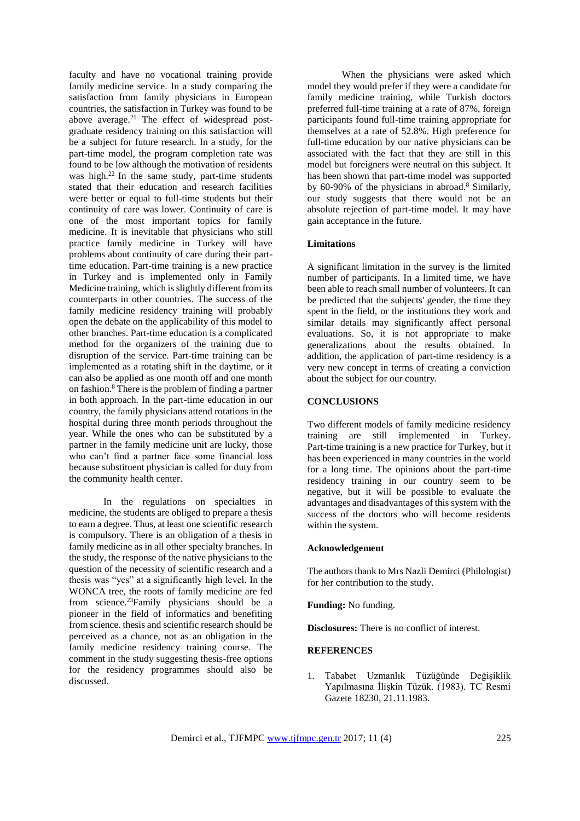faculty and have no vocational training provide family medicine service. In a study comparing the satisfaction from family physicians in European countries, the satisfaction in Turkey was found to be above average.<sup>21</sup> The effect of widespread postgraduate residency training on this satisfaction will be a subject for future research. In a study, for the part-time model, the program completion rate was found to be low although the motivation of residents was high. $22$  In the same study, part-time students stated that their education and research facilities were better or equal to full-time students but their continuity of care was lower. Continuity of care is one of the most important topics for family medicine. It is inevitable that physicians who still practice family medicine in Turkey will have problems about continuity of care during their parttime education. Part-time training is a new practice in Turkey and is implemented only in Family Medicine training, which is slightly different from its counterparts in other countries. The success of the family medicine residency training will probably open the debate on the applicability of this model to other branches. Part-time education is a complicated method for the organizers of the training due to disruption of the service. Part-time training can be implemented as a rotating shift in the daytime, or it can also be applied as one month off and one month on fashion.<sup>8</sup> There is the problem of finding a partner in both approach. In the part-time education in our country, the family physicians attend rotations in the hospital during three month periods throughout the year. While the ones who can be substituted by a partner in the family medicine unit are lucky, those who can't find a partner face some financial loss because substituent physician is called for duty from the community health center.

In the regulations on specialties in medicine, the students are obliged to prepare a thesis to earn a degree. Thus, at least one scientific research is compulsory. There is an obligation of a thesis in family medicine as in all other specialty branches. In the study, the response of the native physicians to the question of the necessity of scientific research and a thesis was "yes" at a significantly high level. In the WONCA tree, the roots of family medicine are fed from science.<sup>23</sup>Family physicians should be a pioneer in the field of informatics and benefiting from science. thesis and scientific research should be perceived as a chance, not as an obligation in the family medicine residency training course. The comment in the study suggesting thesis-free options for the residency programmes should also be discussed.

When the physicians were asked which model they would prefer if they were a candidate for family medicine training, while Turkish doctors preferred full-time training at a rate of 87%, foreign participants found full-time training appropriate for themselves at a rate of 52.8%. High preference for full-time education by our native physicians can be associated with the fact that they are still in this model but foreigners were neutral on this subject. It has been shown that part-time model was supported by  $60-90\%$  of the physicians in abroad.<sup>8</sup> Similarly, our study suggests that there would not be an absolute rejection of part-time model. It may have gain acceptance in the future.

#### **Limitations**

A significant limitation in the survey is the limited number of participants. In a limited time, we have been able to reach small number of volunteers. It can be predicted that the subjects' gender, the time they spent in the field, or the institutions they work and similar details may significantly affect personal evaluations. So, it is not appropriate to make generalizations about the results obtained. In addition, the application of part-time residency is a very new concept in terms of creating a conviction about the subject for our country.

#### **CONCLUSIONS**

Two different models of family medicine residency training are still implemented in Turkey. Part-time training is a new practice for Turkey, but it has been experienced in many countries in the world for a long time. The opinions about the part-time residency training in our country seem to be negative, but it will be possible to evaluate the advantages and disadvantages of this system with the success of the doctors who will become residents within the system.

#### **Acknowledgement**

The authors thank to Mrs Nazli Demirci (Philologist) for her contribution to the study.

**Funding:** No funding.

**Disclosures:** There is no conflict of interest.

#### **REFERENCES**

1. Tababet Uzmanlık Tüzüğünde Değişiklik Yapılmasına İlişkin Tüzük. (1983). TC Resmi Gazete 18230, 21.11.1983.